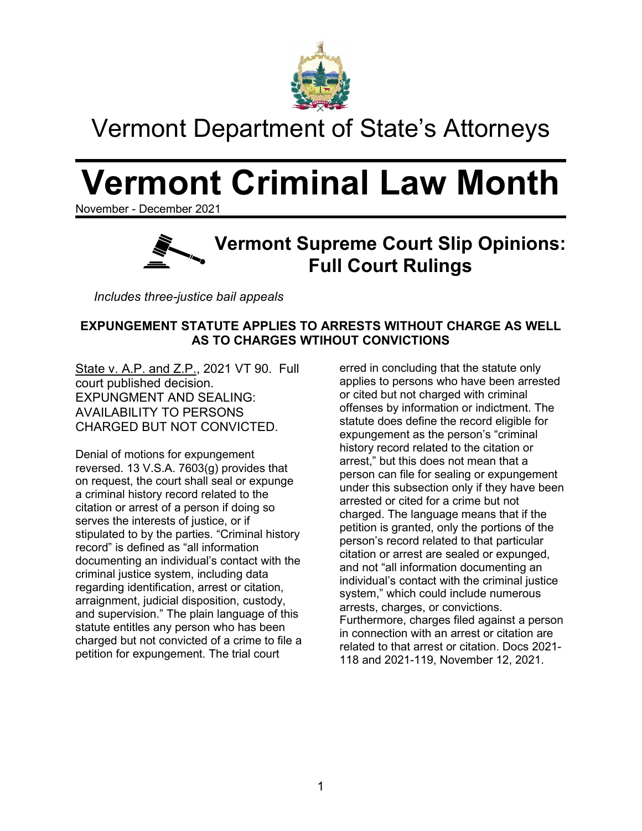

## Vermont Department of State's Attorneys

# **Vermont Criminal Law Month**

November - December 2021



*Includes three-justice bail appeals*

## **EXPUNGEMENT STATUTE APPLIES TO ARRESTS WITHOUT CHARGE AS WELL AS TO CHARGES WTIHOUT CONVICTIONS**

State v. A.P. and Z.P., 2021 VT 90. Full court published decision. EXPUNGMENT AND SEALING: AVAILABILITY TO PERSONS CHARGED BUT NOT CONVICTED.

Denial of motions for expungement reversed. 13 V.S.A. 7603(g) provides that on request, the court shall seal or expunge a criminal history record related to the citation or arrest of a person if doing so serves the interests of justice, or if stipulated to by the parties. "Criminal history record" is defined as "all information documenting an individual's contact with the criminal justice system, including data regarding identification, arrest or citation, arraignment, judicial disposition, custody, and supervision." The plain language of this statute entitles any person who has been charged but not convicted of a crime to file a petition for expungement. The trial court

erred in concluding that the statute only applies to persons who have been arrested or cited but not charged with criminal offenses by information or indictment. The statute does define the record eligible for expungement as the person's "criminal history record related to the citation or arrest," but this does not mean that a person can file for sealing or expungement under this subsection only if they have been arrested or cited for a crime but not charged. The language means that if the petition is granted, only the portions of the person's record related to that particular citation or arrest are sealed or expunged, and not "all information documenting an individual's contact with the criminal justice system," which could include numerous arrests, charges, or convictions. Furthermore, charges filed against a person in connection with an arrest or citation are related to that arrest or citation. Docs 2021- 118 and 2021-119, November 12, 2021.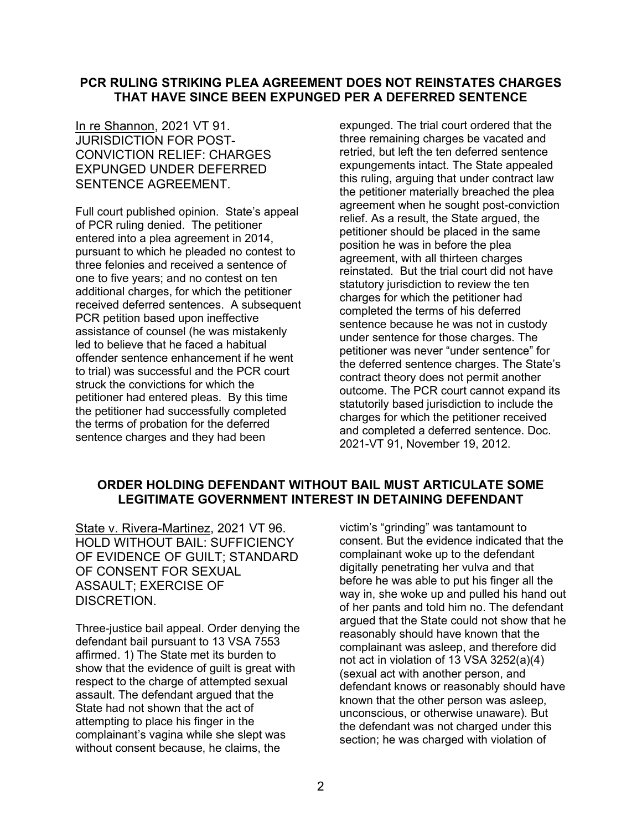## **PCR RULING STRIKING PLEA AGREEMENT DOES NOT REINSTATES CHARGES THAT HAVE SINCE BEEN EXPUNGED PER A DEFERRED SENTENCE**

In re Shannon, 2021 VT 91. JURISDICTION FOR POST-CONVICTION RELIEF: CHARGES EXPUNGED UNDER DEFERRED SENTENCE AGREEMENT.

Full court published opinion. State's appeal of PCR ruling denied. The petitioner entered into a plea agreement in 2014, pursuant to which he pleaded no contest to three felonies and received a sentence of one to five years; and no contest on ten additional charges, for which the petitioner received deferred sentences. A subsequent PCR petition based upon ineffective assistance of counsel (he was mistakenly led to believe that he faced a habitual offender sentence enhancement if he went to trial) was successful and the PCR court struck the convictions for which the petitioner had entered pleas. By this time the petitioner had successfully completed the terms of probation for the deferred sentence charges and they had been

expunged. The trial court ordered that the three remaining charges be vacated and retried, but left the ten deferred sentence expungements intact. The State appealed this ruling, arguing that under contract law the petitioner materially breached the plea agreement when he sought post-conviction relief. As a result, the State argued, the petitioner should be placed in the same position he was in before the plea agreement, with all thirteen charges reinstated. But the trial court did not have statutory jurisdiction to review the ten charges for which the petitioner had completed the terms of his deferred sentence because he was not in custody under sentence for those charges. The petitioner was never "under sentence" for the deferred sentence charges. The State's contract theory does not permit another outcome. The PCR court cannot expand its statutorily based jurisdiction to include the charges for which the petitioner received and completed a deferred sentence. Doc. 2021-VT 91, November 19, 2012.

### **ORDER HOLDING DEFENDANT WITHOUT BAIL MUST ARTICULATE SOME LEGITIMATE GOVERNMENT INTEREST IN DETAINING DEFENDANT**

State v. Rivera-Martinez, 2021 VT 96. HOLD WITHOUT BAIL: SUFFICIENCY OF EVIDENCE OF GUILT; STANDARD OF CONSENT FOR SEXUAL ASSAULT; EXERCISE OF DISCRETION.

Three-justice bail appeal. Order denying the defendant bail pursuant to 13 VSA 7553 affirmed. 1) The State met its burden to show that the evidence of guilt is great with respect to the charge of attempted sexual assault. The defendant argued that the State had not shown that the act of attempting to place his finger in the complainant's vagina while she slept was without consent because, he claims, the

victim's "grinding" was tantamount to consent. But the evidence indicated that the complainant woke up to the defendant digitally penetrating her vulva and that before he was able to put his finger all the way in, she woke up and pulled his hand out of her pants and told him no. The defendant argued that the State could not show that he reasonably should have known that the complainant was asleep, and therefore did not act in violation of 13 VSA 3252(a)(4) (sexual act with another person, and defendant knows or reasonably should have known that the other person was asleep, unconscious, or otherwise unaware). But the defendant was not charged under this section; he was charged with violation of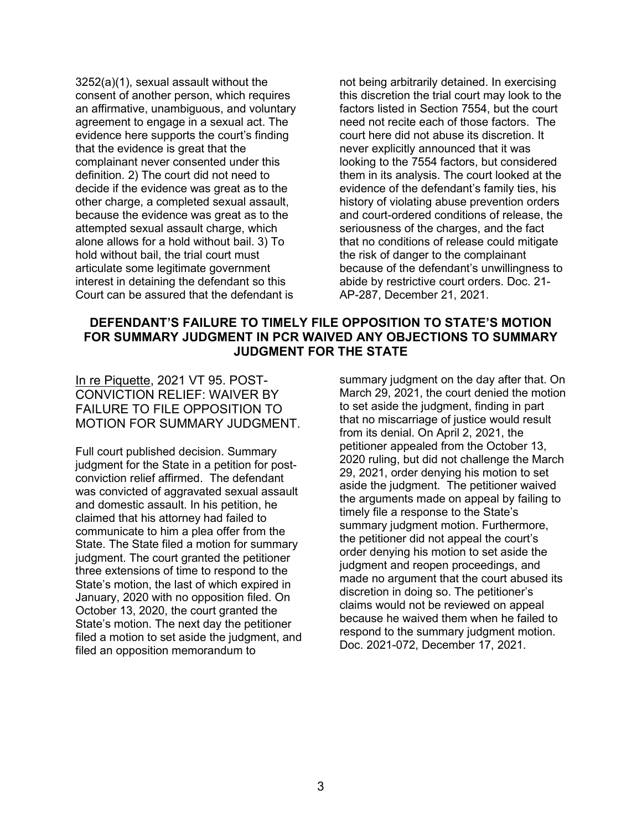3252(a)(1), sexual assault without the consent of another person, which requires an affirmative, unambiguous, and voluntary agreement to engage in a sexual act. The evidence here supports the court's finding that the evidence is great that the complainant never consented under this definition. 2) The court did not need to decide if the evidence was great as to the other charge, a completed sexual assault, because the evidence was great as to the attempted sexual assault charge, which alone allows for a hold without bail. 3) To hold without bail, the trial court must articulate some legitimate government interest in detaining the defendant so this Court can be assured that the defendant is

not being arbitrarily detained. In exercising this discretion the trial court may look to the factors listed in Section 7554, but the court need not recite each of those factors. The court here did not abuse its discretion. It never explicitly announced that it was looking to the 7554 factors, but considered them in its analysis. The court looked at the evidence of the defendant's family ties, his history of violating abuse prevention orders and court-ordered conditions of release, the seriousness of the charges, and the fact that no conditions of release could mitigate the risk of danger to the complainant because of the defendant's unwillingness to abide by restrictive court orders. Doc. 21- AP-287, December 21, 2021.

## **DEFENDANT'S FAILURE TO TIMELY FILE OPPOSITION TO STATE'S MOTION FOR SUMMARY JUDGMENT IN PCR WAIVED ANY OBJECTIONS TO SUMMARY JUDGMENT FOR THE STATE**

In re Piquette, 2021 VT 95. POST-CONVICTION RELIEF: WAIVER BY FAILURE TO FILE OPPOSITION TO MOTION FOR SUMMARY JUDGMENT.

Full court published decision. Summary judgment for the State in a petition for postconviction relief affirmed. The defendant was convicted of aggravated sexual assault and domestic assault. In his petition, he claimed that his attorney had failed to communicate to him a plea offer from the State. The State filed a motion for summary judgment. The court granted the petitioner three extensions of time to respond to the State's motion, the last of which expired in January, 2020 with no opposition filed. On October 13, 2020, the court granted the State's motion. The next day the petitioner filed a motion to set aside the judgment, and filed an opposition memorandum to

summary judgment on the day after that. On March 29, 2021, the court denied the motion to set aside the judgment, finding in part that no miscarriage of justice would result from its denial. On April 2, 2021, the petitioner appealed from the October 13, 2020 ruling, but did not challenge the March 29, 2021, order denying his motion to set aside the judgment. The petitioner waived the arguments made on appeal by failing to timely file a response to the State's summary judgment motion. Furthermore, the petitioner did not appeal the court's order denying his motion to set aside the judgment and reopen proceedings, and made no argument that the court abused its discretion in doing so. The petitioner's claims would not be reviewed on appeal because he waived them when he failed to respond to the summary judgment motion. Doc. 2021-072, December 17, 2021.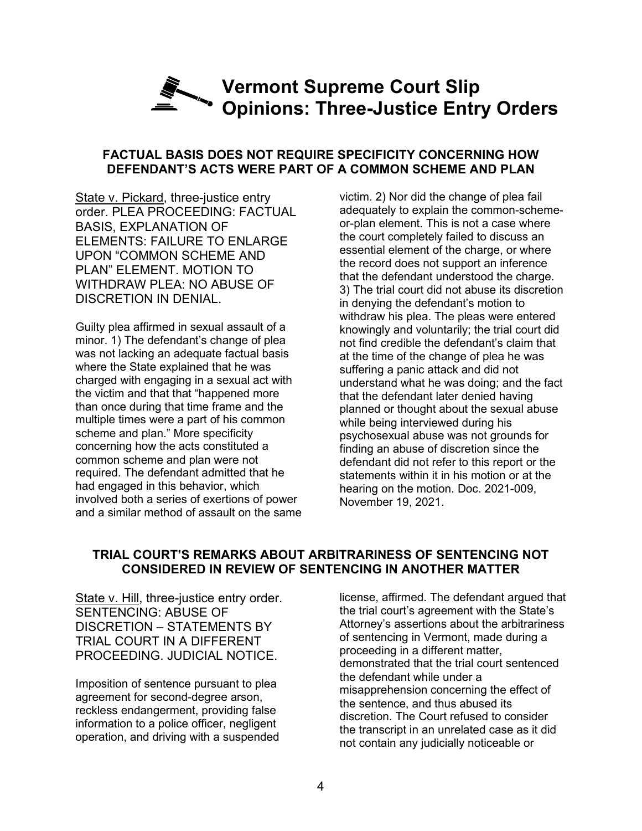## **Vermont Supreme Court Slip Opinions: Three-Justice Entry Orders**

#### **FACTUAL BASIS DOES NOT REQUIRE SPECIFICITY CONCERNING HOW DEFENDANT'S ACTS WERE PART OF A COMMON SCHEME AND PLAN**

State v. Pickard, three-justice entry order. PLEA PROCEEDING: FACTUAL BASIS, EXPLANATION OF ELEMENTS: FAILURE TO ENLARGE UPON "COMMON SCHEME AND PLAN" ELEMENT. MOTION TO WITHDRAW PLEA: NO ABUSE OF DISCRETION IN DENIAL.

Guilty plea affirmed in sexual assault of a minor. 1) The defendant's change of plea was not lacking an adequate factual basis where the State explained that he was charged with engaging in a sexual act with the victim and that that "happened more than once during that time frame and the multiple times were a part of his common scheme and plan." More specificity concerning how the acts constituted a common scheme and plan were not required. The defendant admitted that he had engaged in this behavior, which involved both a series of exertions of power and a similar method of assault on the same

victim. 2) Nor did the change of plea fail adequately to explain the common-schemeor-plan element. This is not a case where the court completely failed to discuss an essential element of the charge, or where the record does not support an inference that the defendant understood the charge. 3) The trial court did not abuse its discretion in denying the defendant's motion to withdraw his plea. The pleas were entered knowingly and voluntarily; the trial court did not find credible the defendant's claim that at the time of the change of plea he was suffering a panic attack and did not understand what he was doing; and the fact that the defendant later denied having planned or thought about the sexual abuse while being interviewed during his psychosexual abuse was not grounds for finding an abuse of discretion since the defendant did not refer to this report or the statements within it in his motion or at the hearing on the motion. Doc. 2021-009, November 19, 2021.

## **TRIAL COURT'S REMARKS ABOUT ARBITRARINESS OF SENTENCING NOT CONSIDERED IN REVIEW OF SENTENCING IN ANOTHER MATTER**

State v. Hill, three-justice entry order. SENTENCING: ABUSE OF DISCRETION – STATEMENTS BY TRIAL COURT IN A DIFFERENT PROCEEDING. JUDICIAL NOTICE.

Imposition of sentence pursuant to plea agreement for second-degree arson, reckless endangerment, providing false information to a police officer, negligent operation, and driving with a suspended license, affirmed. The defendant argued that the trial court's agreement with the State's Attorney's assertions about the arbitrariness of sentencing in Vermont, made during a proceeding in a different matter, demonstrated that the trial court sentenced the defendant while under a misapprehension concerning the effect of the sentence, and thus abused its discretion. The Court refused to consider the transcript in an unrelated case as it did not contain any judicially noticeable or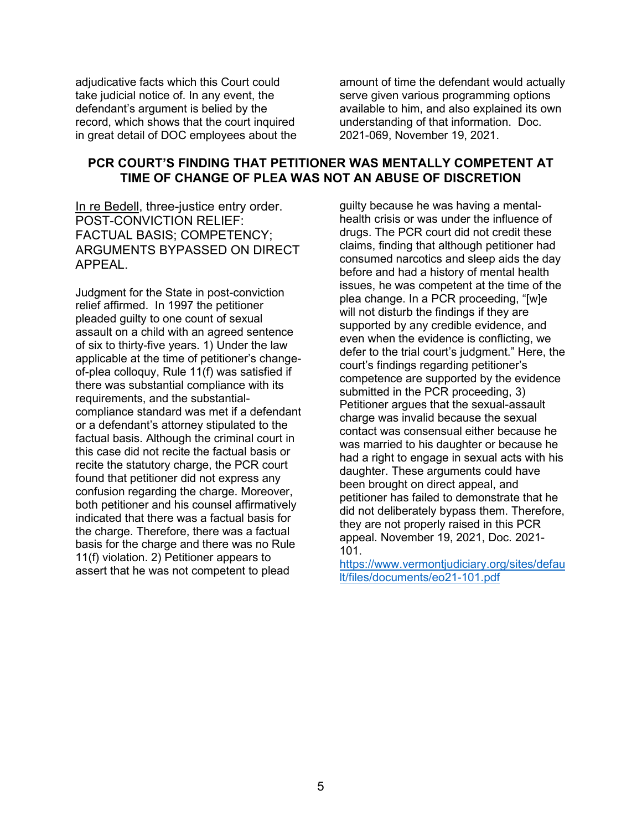adjudicative facts which this Court could take judicial notice of. In any event, the defendant's argument is belied by the record, which shows that the court inquired in great detail of DOC employees about the amount of time the defendant would actually serve given various programming options available to him, and also explained its own understanding of that information. Doc. 2021-069, November 19, 2021.

## **PCR COURT'S FINDING THAT PETITIONER WAS MENTALLY COMPETENT AT TIME OF CHANGE OF PLEA WAS NOT AN ABUSE OF DISCRETION**

In re Bedell, three-justice entry order. POST-CONVICTION RELIEF: FACTUAL BASIS; COMPETENCY; ARGUMENTS BYPASSED ON DIRECT APPEAL.

Judgment for the State in post-conviction relief affirmed. In 1997 the petitioner pleaded guilty to one count of sexual assault on a child with an agreed sentence of six to thirty-five years. 1) Under the law applicable at the time of petitioner's changeof-plea colloquy, Rule 11(f) was satisfied if there was substantial compliance with its requirements, and the substantialcompliance standard was met if a defendant or a defendant's attorney stipulated to the factual basis. Although the criminal court in this case did not recite the factual basis or recite the statutory charge, the PCR court found that petitioner did not express any confusion regarding the charge. Moreover, both petitioner and his counsel affirmatively indicated that there was a factual basis for the charge. Therefore, there was a factual basis for the charge and there was no Rule 11(f) violation. 2) Petitioner appears to assert that he was not competent to plead

guilty because he was having a mentalhealth crisis or was under the influence of drugs. The PCR court did not credit these claims, finding that although petitioner had consumed narcotics and sleep aids the day before and had a history of mental health issues, he was competent at the time of the plea change. In a PCR proceeding, "[w]e will not disturb the findings if they are supported by any credible evidence, and even when the evidence is conflicting, we defer to the trial court's judgment." Here, the court's findings regarding petitioner's competence are supported by the evidence submitted in the PCR proceeding, 3) Petitioner argues that the sexual-assault charge was invalid because the sexual contact was consensual either because he was married to his daughter or because he had a right to engage in sexual acts with his daughter. These arguments could have been brought on direct appeal, and petitioner has failed to demonstrate that he did not deliberately bypass them. Therefore, they are not properly raised in this PCR appeal. November 19, 2021, Doc. 2021- 101.

[https://www.vermontjudiciary.org/sites/defau](https://www.vermontjudiciary.org/sites/default/files/documents/eo21-101.pdf) [lt/files/documents/eo21-101.pdf](https://www.vermontjudiciary.org/sites/default/files/documents/eo21-101.pdf)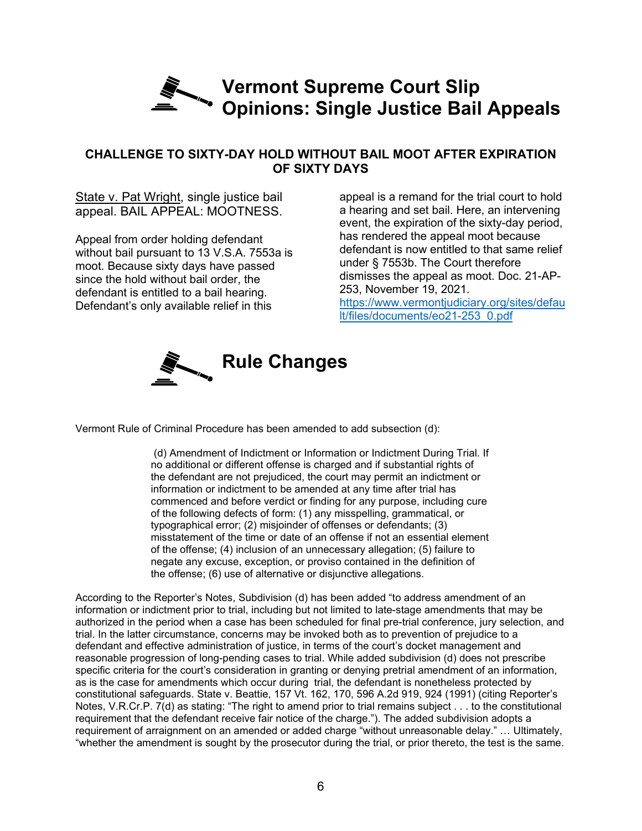## **Vermont Supreme Court Slip Opinions: Single Justice Bail Appeals**

## **CHALLENGE TO SIXTY-DAY HOLD WITHOUT BAIL MOOT AFTER EXPIRATION OF SIXTY DAYS**

State v. Pat Wright, single justice bail appeal. BAIL APPEAL: MOOTNESS.

Appeal from order holding defendant without bail pursuant to 13 V.S.A. 7553a is moot. Because sixty days have passed since the hold without bail order, the defendant is entitled to a bail hearing. Defendant's only available relief in this

appeal is a remand for the trial court to hold a hearing and set bail. Here, an intervening event, the expiration of the sixty-day period, has rendered the appeal moot because defendant is now entitled to that same relief under § 7553b. The Court therefore dismisses the appeal as moot. Doc. 21-AP-253, November 19, 2021. [https://www.vermontjudiciary.org/sites/defau](https://www.vermontjudiciary.org/sites/default/files/documents/eo21-253_0.pdf)

[lt/files/documents/eo21-253\\_0.pdf](https://www.vermontjudiciary.org/sites/default/files/documents/eo21-253_0.pdf)



Vermont Rule of Criminal Procedure has been amended to add subsection (d):

(d) Amendment of Indictment or Information or Indictment During Trial. If no additional or different offense is charged and if substantial rights of the defendant are not prejudiced, the court may permit an indictment or information or indictment to be amended at any time after trial has commenced and before verdict or finding for any purpose, including cure of the following defects of form: (1) any misspelling, grammatical, or typographical error; (2) misjoinder of offenses or defendants; (3) misstatement of the time or date of an offense if not an essential element of the offense; (4) inclusion of an unnecessary allegation; (5) failure to negate any excuse, exception, or proviso contained in the definition of the offense; (6) use of alternative or disjunctive allegations.

According to the Reporter's Notes, Subdivision (d) has been added "to address amendment of an information or indictment prior to trial, including but not limited to late-stage amendments that may be authorized in the period when a case has been scheduled for final pre-trial conference, jury selection, and trial. In the latter circumstance, concerns may be invoked both as to prevention of prejudice to a defendant and effective administration of justice, in terms of the court's docket management and reasonable progression of long-pending cases to trial. While added subdivision (d) does not prescribe specific criteria for the court's consideration in granting or denying pretrial amendment of an information, as is the case for amendments which occur during trial, the defendant is nonetheless protected by constitutional safeguards. State v. Beattie, 157 Vt. 162, 170, 596 A.2d 919, 924 (1991) (citing Reporter's Notes, V.R.Cr.P. 7(d) as stating: "The right to amend prior to trial remains subject . . . to the constitutional requirement that the defendant receive fair notice of the charge."). The added subdivision adopts a requirement of arraignment on an amended or added charge "without unreasonable delay." … Ultimately, "whether the amendment is sought by the prosecutor during the trial, or prior thereto, the test is the same.